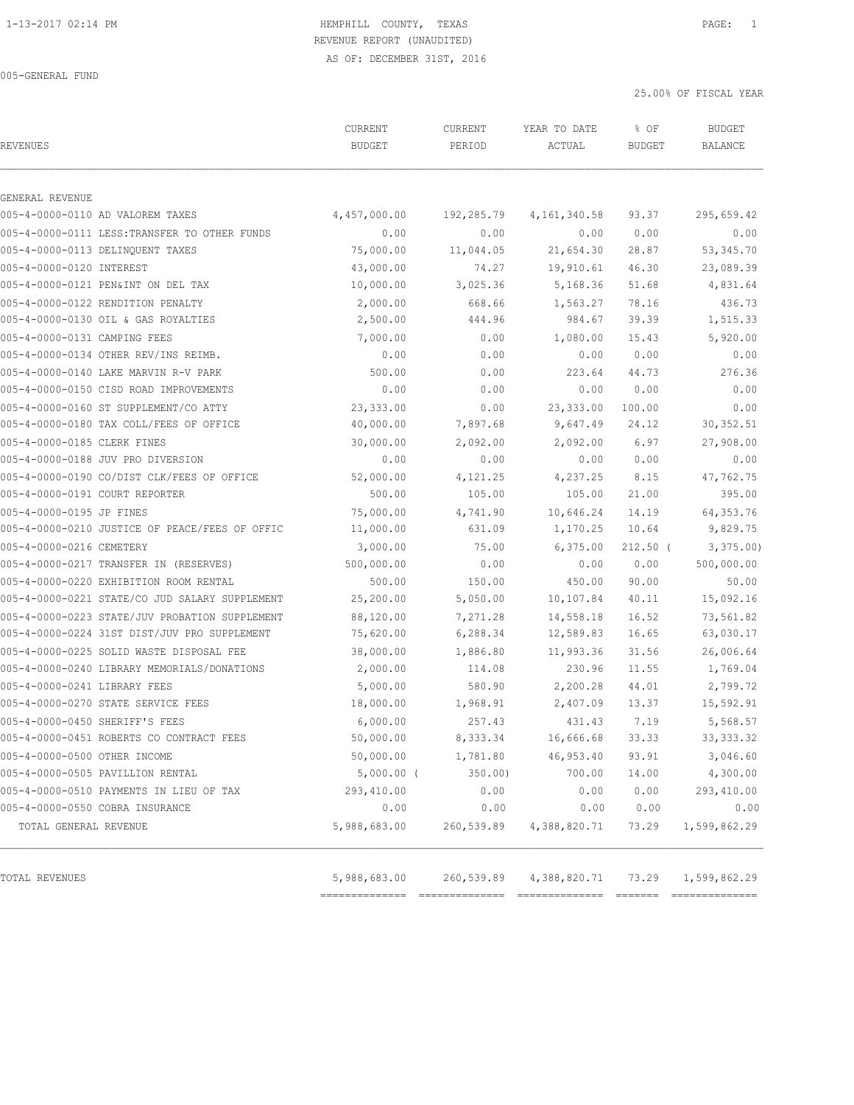# 1-13-2017 02:14 PM HEMPHILL COUNTY, TEXAS PAGE: 1 REVENUE REPORT (UNAUDITED)

AS OF: DECEMBER 31ST, 2016

005-GENERAL FUND

25.00% OF FISCAL YEAR

| GENERAL REVENUE<br>005-4-0000-0110 AD VALOREM TAXES<br>005-4-0000-0111 LESS: TRANSFER TO OTHER FUNDS<br>005-4-0000-0113 DELINOUENT TAXES<br>005-4-0000-0120 INTEREST<br>005-4-0000-0121 PEN&INT ON DEL TAX<br>005-4-0000-0122 RENDITION PENALTY<br>005-4-0000-0130 OIL & GAS ROYALTIES<br>005-4-0000-0131 CAMPING FEES | CURRENT<br><b>BUDGET</b> | CURRENT<br>PERIOD | YEAR TO DATE<br>ACTUAL | % OF<br><b>BUDGET</b> | <b>BUDGET</b><br>BALANCE |
|------------------------------------------------------------------------------------------------------------------------------------------------------------------------------------------------------------------------------------------------------------------------------------------------------------------------|--------------------------|-------------------|------------------------|-----------------------|--------------------------|
|                                                                                                                                                                                                                                                                                                                        |                          |                   |                        |                       |                          |
|                                                                                                                                                                                                                                                                                                                        | 4,457,000.00             | 192,285.79        | 4, 161, 340.58         | 93.37                 | 295,659.42               |
|                                                                                                                                                                                                                                                                                                                        | 0.00                     | 0.00              | 0.00                   | 0.00                  | 0.00                     |
|                                                                                                                                                                                                                                                                                                                        | 75,000.00                | 11,044.05         | 21,654.30              | 28.87                 | 53, 345.70               |
|                                                                                                                                                                                                                                                                                                                        | 43,000.00                | 74.27             | 19,910.61              | 46.30                 | 23,089.39                |
|                                                                                                                                                                                                                                                                                                                        | 10,000.00                | 3,025.36          | 5,168.36               | 51.68                 | 4,831.64                 |
|                                                                                                                                                                                                                                                                                                                        | 2,000.00                 | 668.66            | 1,563.27               | 78.16                 | 436.73                   |
|                                                                                                                                                                                                                                                                                                                        | 2,500.00                 | 444.96            | 984.67                 | 39.39                 | 1,515.33                 |
|                                                                                                                                                                                                                                                                                                                        | 7,000.00                 | 0.00              | 1,080.00               | 15.43                 | 5,920.00                 |
| 005-4-0000-0134 OTHER REV/INS REIMB.                                                                                                                                                                                                                                                                                   | 0.00                     | 0.00              | 0.00                   | 0.00                  | 0.00                     |
| 005-4-0000-0140 LAKE MARVIN R-V PARK                                                                                                                                                                                                                                                                                   | 500.00                   | 0.00              | 223.64                 | 44.73                 | 276.36                   |
| 005-4-0000-0150 CISD ROAD IMPROVEMENTS                                                                                                                                                                                                                                                                                 | 0.00                     | 0.00              | 0.00                   | 0.00                  | 0.00                     |
| 005-4-0000-0160 ST SUPPLEMENT/CO ATTY                                                                                                                                                                                                                                                                                  | 23,333.00                | 0.00              | 23, 333.00             | 100.00                | 0.00                     |
| 005-4-0000-0180 TAX COLL/FEES OF OFFICE                                                                                                                                                                                                                                                                                | 40,000.00                | 7,897.68          | 9,647.49               | 24.12                 | 30, 352.51               |
| 005-4-0000-0185 CLERK FINES                                                                                                                                                                                                                                                                                            | 30,000.00                | 2,092.00          | 2,092.00               | 6.97                  | 27,908.00                |
| 005-4-0000-0188 JUV PRO DIVERSION                                                                                                                                                                                                                                                                                      | 0.00                     | 0.00              | 0.00                   | 0.00                  | 0.00                     |
| 005-4-0000-0190 CO/DIST CLK/FEES OF OFFICE                                                                                                                                                                                                                                                                             | 52,000.00                | 4,121.25          | 4,237.25               | 8.15                  | 47,762.75                |
| 005-4-0000-0191 COURT REPORTER                                                                                                                                                                                                                                                                                         | 500.00                   | 105.00            | 105.00                 | 21.00                 | 395.00                   |
| 005-4-0000-0195 JP FINES                                                                                                                                                                                                                                                                                               | 75,000.00                | 4,741.90          | 10,646.24              | 14.19                 | 64, 353. 76              |
| 005-4-0000-0210 JUSTICE OF PEACE/FEES OF OFFIC                                                                                                                                                                                                                                                                         | 11,000.00                | 631.09            | 1,170.25               | 10.64                 | 9,829.75                 |
| 005-4-0000-0216 CEMETERY                                                                                                                                                                                                                                                                                               | 3,000.00                 | 75.00             | 6,375.00               | $212.50$ (            | 3,375.00                 |
| 005-4-0000-0217 TRANSFER IN (RESERVES)                                                                                                                                                                                                                                                                                 | 500,000.00               | 0.00              | 0.00                   | 0.00                  | 500,000.00               |
| 005-4-0000-0220 EXHIBITION ROOM RENTAL                                                                                                                                                                                                                                                                                 | 500.00                   | 150.00            | 450.00                 | 90.00                 | 50.00                    |
| 005-4-0000-0221 STATE/CO JUD SALARY SUPPLEMENT                                                                                                                                                                                                                                                                         | 25,200.00                | 5,050.00          | 10,107.84              | 40.11                 | 15,092.16                |
| 005-4-0000-0223 STATE/JUV PROBATION SUPPLEMENT                                                                                                                                                                                                                                                                         | 88,120.00                | 7,271.28          | 14,558.18              | 16.52                 | 73,561.82                |
| 005-4-0000-0224 31ST DIST/JUV PRO SUPPLEMENT                                                                                                                                                                                                                                                                           | 75,620.00                | 6,288.34          | 12,589.83              | 16.65                 | 63,030.17                |
| 005-4-0000-0225 SOLID WASTE DISPOSAL FEE                                                                                                                                                                                                                                                                               | 38,000.00                | 1,886.80          | 11,993.36              | 31.56                 | 26,006.64                |
| 005-4-0000-0240 LIBRARY MEMORIALS/DONATIONS                                                                                                                                                                                                                                                                            | 2,000.00                 | 114.08            | 230.96                 | 11.55                 | 1,769.04                 |
| 005-4-0000-0241 LIBRARY FEES                                                                                                                                                                                                                                                                                           | 5,000.00                 | 580.90            | 2,200.28               | 44.01                 | 2,799.72                 |
| 005-4-0000-0270 STATE SERVICE FEES                                                                                                                                                                                                                                                                                     | 18,000.00                | 1,968.91          | 2,407.09               | 13.37                 | 15,592.91                |
| 005-4-0000-0450 SHERIFF'S FEES                                                                                                                                                                                                                                                                                         | 6,000.00                 | 257.43            | 431.43                 | 7.19                  | 5,568.57                 |
| 005-4-0000-0451 ROBERTS CO CONTRACT FEES                                                                                                                                                                                                                                                                               | 50,000.00                | 8,333.34          | 16,666.68              | 33.33                 | 33, 333.32               |
| 005-4-0000-0500 OTHER INCOME                                                                                                                                                                                                                                                                                           | 50,000.00                | 1,781.80          | 46,953.40              | 93.91                 | 3,046.60                 |
| 005-4-0000-0505 PAVILLION RENTAL                                                                                                                                                                                                                                                                                       | $5,000.00$ (             | 350.00            | 700.00                 | 14.00                 | 4,300.00                 |
| 005-4-0000-0510 PAYMENTS IN LIEU OF TAX                                                                                                                                                                                                                                                                                | 293,410.00               | 0.00              | 0.00                   | 0.00                  | 293,410.00               |
| 005-4-0000-0550 COBRA INSURANCE                                                                                                                                                                                                                                                                                        | 0.00                     |                   |                        |                       |                          |
| TOTAL GENERAL REVENUE                                                                                                                                                                                                                                                                                                  | 5,988,683.00             | 0.00              | 0.00                   | 0.00                  | 0.00                     |
| TOTAL REVENUES                                                                                                                                                                                                                                                                                                         |                          | 260,539.89        | 4,388,820.71           | 73.29                 | 1,599,862.29             |

============== ============== ============== ======= ==============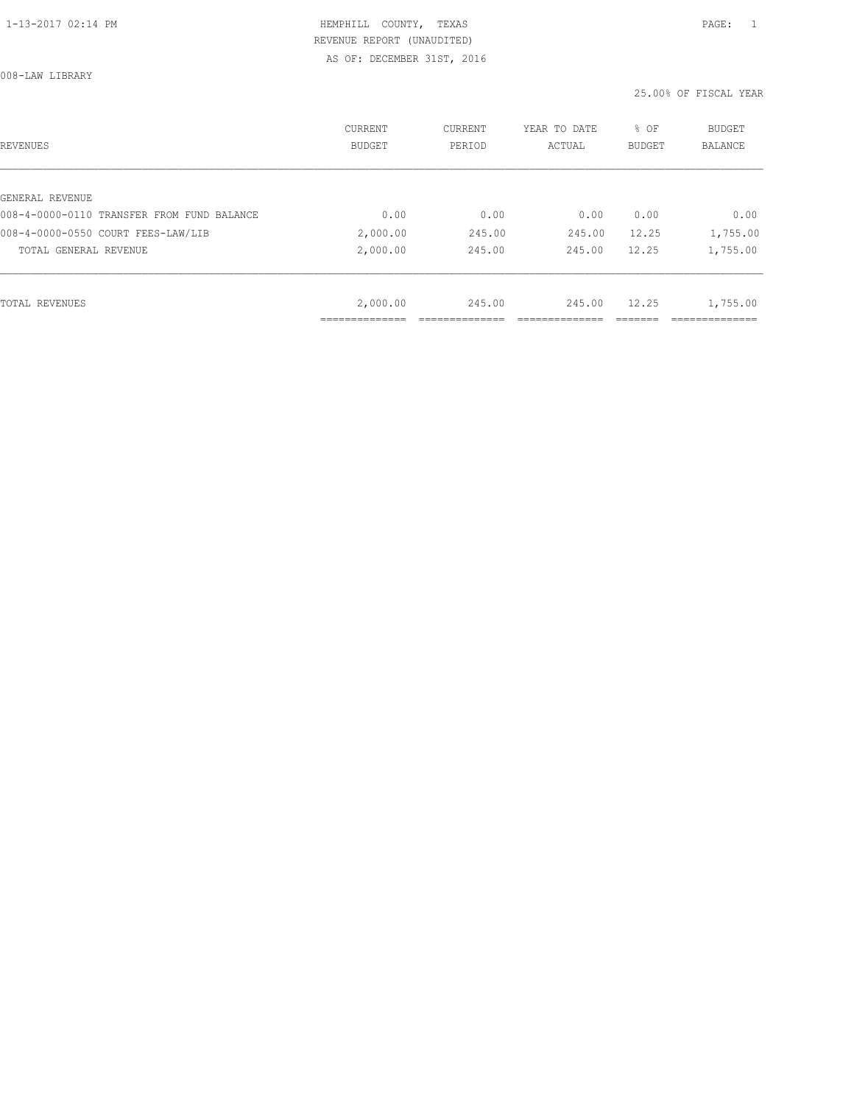008-LAW LIBRARY

| REVENUES                                   | <b>CURRENT</b><br><b>BUDGET</b> | CURRENT<br>PERIOD | YEAR TO DATE<br>ACTUAL | % OF<br><b>BUDGET</b> | BUDGET<br><b>BALANCE</b> |
|--------------------------------------------|---------------------------------|-------------------|------------------------|-----------------------|--------------------------|
|                                            |                                 |                   |                        |                       |                          |
| GENERAL REVENUE                            |                                 |                   |                        |                       |                          |
| 008-4-0000-0110 TRANSFER FROM FUND BALANCE | 0.00                            | 0.00              | 0.00                   | 0.00                  | 0.00                     |
| 008-4-0000-0550 COURT FEES-LAW/LIB         | 2,000.00                        | 245.00            | 245.00                 | 12.25                 | 1,755.00                 |
| TOTAL GENERAL REVENUE                      | 2,000.00                        | 245.00            | 245.00                 | 12.25                 | 1,755.00                 |
|                                            |                                 |                   |                        |                       |                          |
| TOTAL REVENUES                             | 2,000.00                        | 245.00            | 245.00                 | 12.25                 | 1,755.00                 |
|                                            |                                 |                   |                        |                       |                          |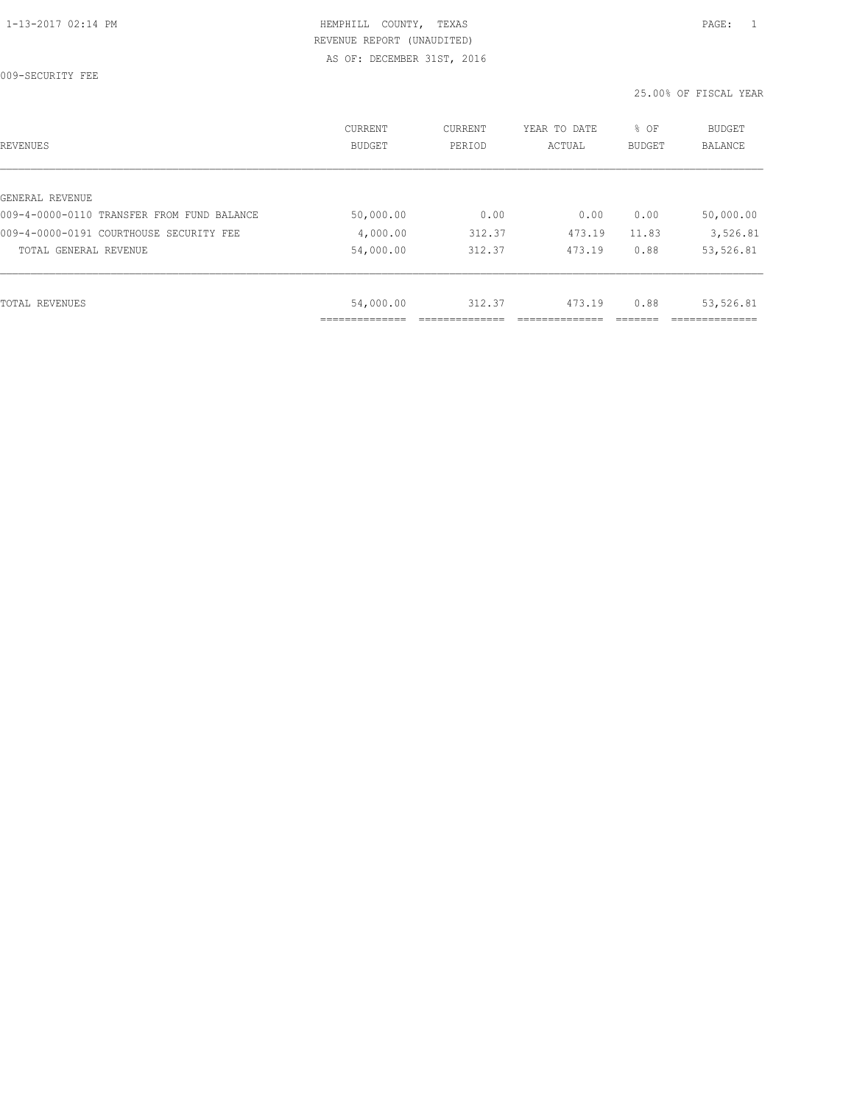009-SECURITY FEE

| REVENUES                                   | <b>CURRENT</b><br><b>BUDGET</b> | CURRENT<br>PERIOD | YEAR TO DATE<br>ACTUAL | % OF<br>BUDGET | BUDGET<br><b>BALANCE</b> |
|--------------------------------------------|---------------------------------|-------------------|------------------------|----------------|--------------------------|
|                                            |                                 |                   |                        |                |                          |
| GENERAL REVENUE                            |                                 |                   |                        |                |                          |
| 009-4-0000-0110 TRANSFER FROM FUND BALANCE | 50,000.00                       | 0.00              | 0.00                   | 0.00           | 50,000.00                |
| 009-4-0000-0191 COURTHOUSE SECURITY FEE    | 4,000.00                        | 312.37            | 473.19                 | 11.83          | 3,526.81                 |
| TOTAL GENERAL REVENUE                      | 54,000.00                       | 312.37            | 473.19                 | 0.88           | 53,526.81                |
|                                            |                                 |                   |                        |                |                          |
| TOTAL REVENUES                             | 54,000.00                       | 312.37            | 473.19                 | 0.88           | 53,526.81                |
|                                            | ___________<br>__________       |                   |                        |                |                          |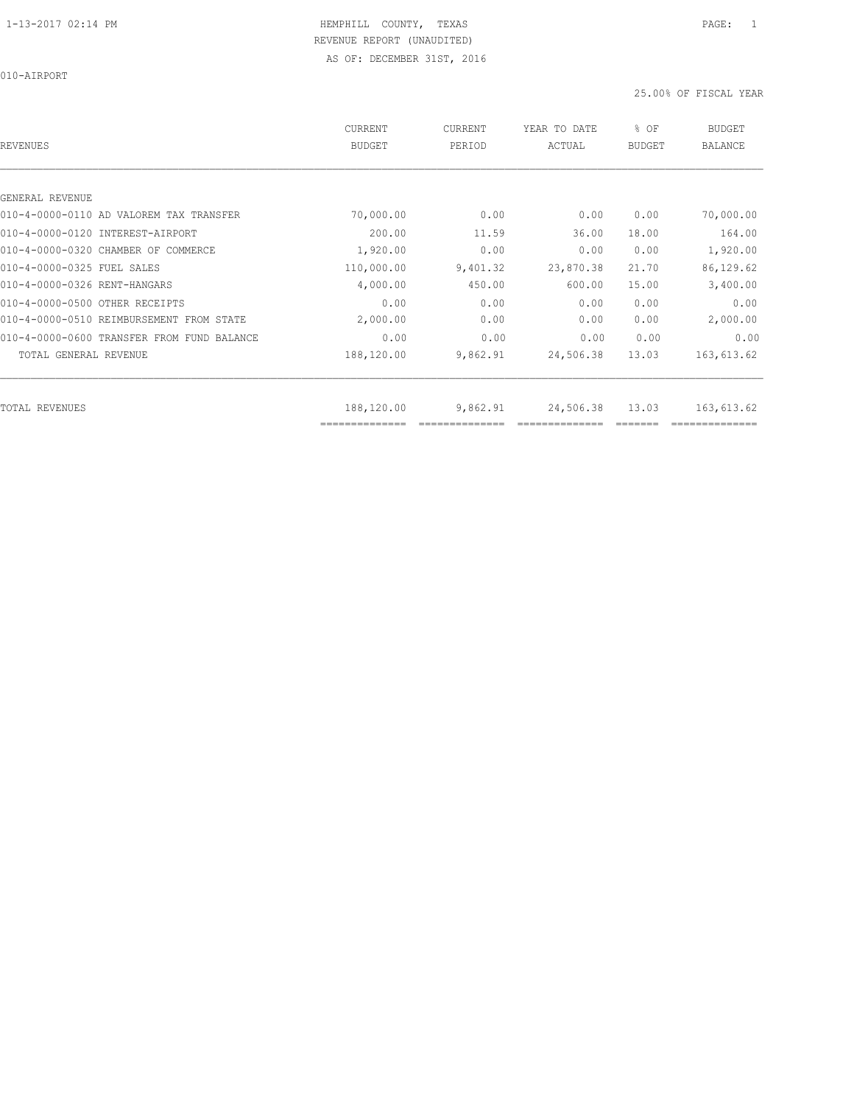010-AIRPORT

| REVENUES                                   | <b>CURRENT</b><br><b>BUDGET</b> | CURRENT<br>PERIOD | YEAR TO DATE<br>ACTUAL | % OF<br><b>BUDGET</b> | <b>BUDGET</b><br><b>BALANCE</b> |
|--------------------------------------------|---------------------------------|-------------------|------------------------|-----------------------|---------------------------------|
|                                            |                                 |                   |                        |                       |                                 |
| GENERAL REVENUE                            |                                 |                   |                        |                       |                                 |
| 010-4-0000-0110 AD VALOREM TAX TRANSFER    | 70,000.00                       | 0.00              | 0.00                   | 0.00                  | 70,000.00                       |
| 010-4-0000-0120 INTEREST-AIRPORT           | 200.00                          | 11.59             | 36.00                  | 18.00                 | 164.00                          |
| 010-4-0000-0320 CHAMBER OF COMMERCE        | 1,920.00                        | 0.00              | 0.00                   | 0.00                  | 1,920.00                        |
| 010-4-0000-0325 FUEL SALES                 | 110,000.00                      | 9,401.32          | 23,870.38              | 21.70                 | 86,129.62                       |
| 010-4-0000-0326 RENT-HANGARS               | 4,000.00                        | 450.00            | 600.00                 | 15.00                 | 3,400.00                        |
| 010-4-0000-0500 OTHER RECEIPTS             | 0.00                            | 0.00              | 0.00                   | 0.00                  | 0.00                            |
| 010-4-0000-0510 REIMBURSEMENT FROM STATE   | 2,000.00                        | 0.00              | 0.00                   | 0.00                  | 2,000.00                        |
| 010-4-0000-0600 TRANSFER FROM FUND BALANCE | 0.00                            | 0.00              | 0.00                   | 0.00                  | 0.00                            |
| TOTAL GENERAL REVENUE                      | 188,120.00                      | 9,862.91          | 24,506.38              | 13.03                 | 163,613.62                      |
|                                            |                                 |                   |                        |                       |                                 |
| TOTAL REVENUES                             | 188,120.00<br>==============    | 9,862.91          | 24,506.38              | 13.03                 | 163,613.62                      |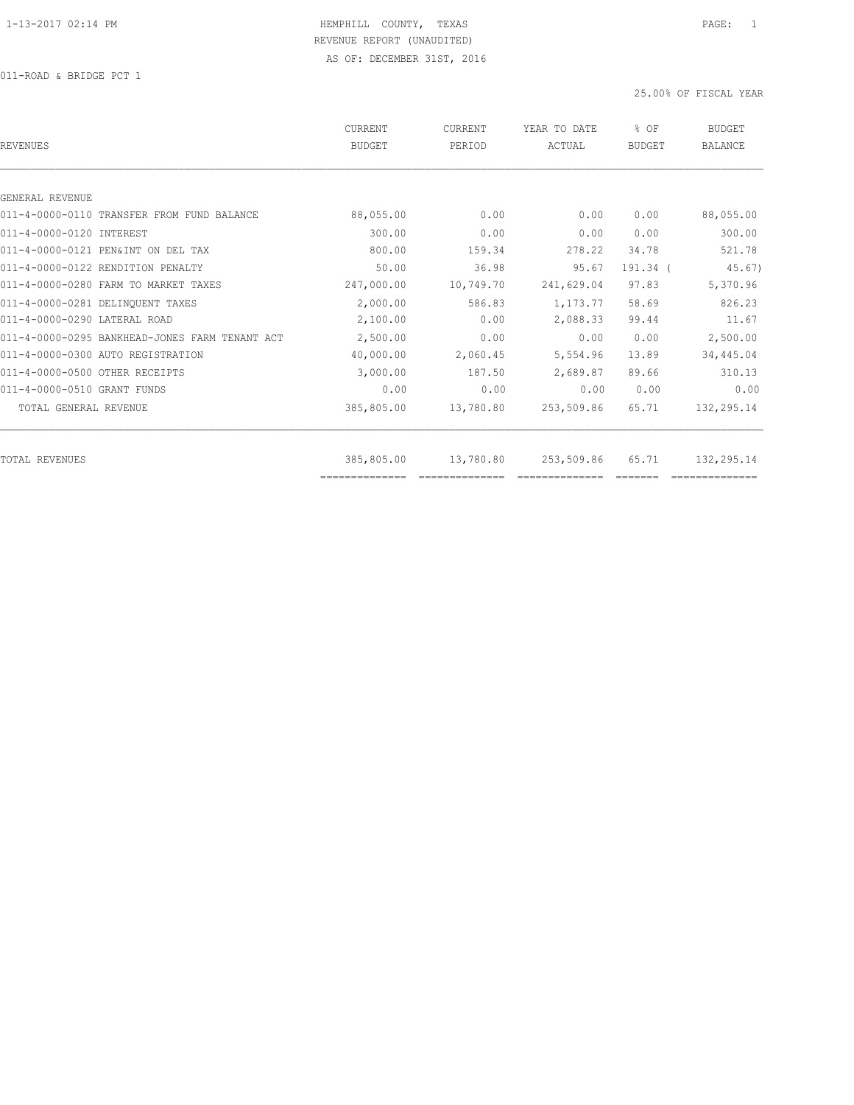011-ROAD & BRIDGE PCT 1

| REVENUES                                       | CURRENT<br><b>BUDGET</b> | CURRENT<br>PERIOD | YEAR TO DATE<br>ACTUAL | % OF<br><b>BUDGET</b> | <b>BUDGET</b><br><b>BALANCE</b> |
|------------------------------------------------|--------------------------|-------------------|------------------------|-----------------------|---------------------------------|
|                                                |                          |                   |                        |                       |                                 |
| GENERAL REVENUE                                |                          |                   |                        |                       |                                 |
| 011-4-0000-0110 TRANSFER FROM FUND BALANCE     | 88,055.00                | 0.00              | 0.00                   | 0.00                  | 88,055.00                       |
| 011-4-0000-0120 INTEREST                       | 300.00                   | 0.00              | 0.00                   | 0.00                  | 300.00                          |
| 011-4-0000-0121 PEN&INT ON DEL TAX             | 800.00                   | 159.34            | 278.22                 | 34.78                 | 521.78                          |
| 011-4-0000-0122 RENDITION PENALTY              | 50.00                    | 36.98             | 95.67                  | 191.34 (              | 45.67)                          |
| 011-4-0000-0280 FARM TO MARKET TAXES           | 247,000.00               | 10,749.70         | 241,629.04             | 97.83                 | 5,370.96                        |
| 011-4-0000-0281 DELINQUENT TAXES               | 2,000.00                 | 586.83            | 1,173.77               | 58.69                 | 826.23                          |
| 011-4-0000-0290 LATERAL ROAD                   | 2,100.00                 | 0.00              | 2,088.33               | 99.44                 | 11.67                           |
| 011-4-0000-0295 BANKHEAD-JONES FARM TENANT ACT | 2,500.00                 | 0.00              | 0.00                   | 0.00                  | 2,500.00                        |
| 011-4-0000-0300 AUTO REGISTRATION              | 40,000.00                | 2,060.45          | 5,554.96               | 13.89                 | 34,445.04                       |
| 011-4-0000-0500 OTHER RECEIPTS                 | 3,000.00                 | 187.50            | 2,689.87               | 89.66                 | 310.13                          |
| 011-4-0000-0510 GRANT FUNDS                    | 0.00                     | 0.00              | 0.00                   | 0.00                  | 0.00                            |
| TOTAL GENERAL REVENUE                          | 385,805.00               | 13,780.80         | 253,509.86             | 65.71                 | 132,295.14                      |
|                                                |                          |                   |                        |                       |                                 |
| TOTAL REVENUES                                 | 385,805.00               | 13,780.80         | 253,509.86             | 65.71                 | 132,295.14                      |
|                                                | ==============           |                   |                        |                       |                                 |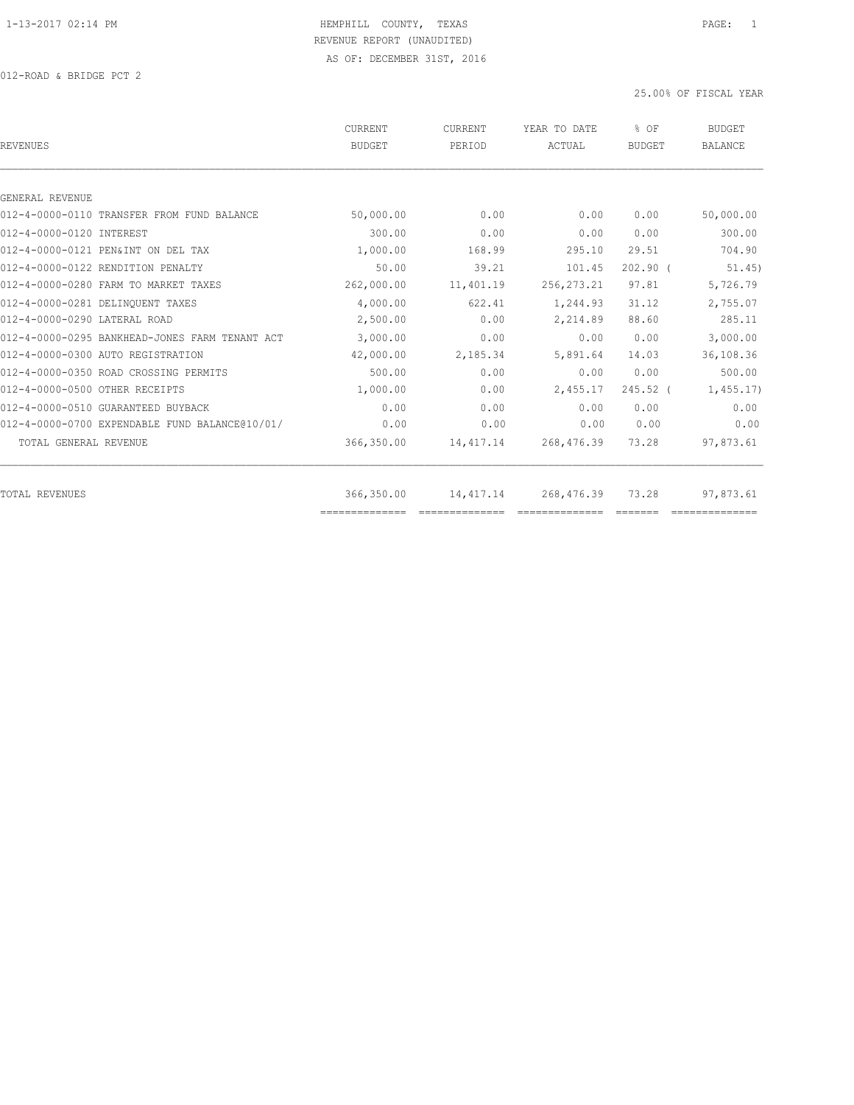012-ROAD & BRIDGE PCT 2

| <b>REVENUES</b>                                | <b>CURRENT</b><br><b>BUDGET</b> | CURRENT<br>PERIOD | YEAR TO DATE<br>ACTUAL | % OF<br><b>BUDGET</b>   | <b>BUDGET</b><br><b>BALANCE</b> |
|------------------------------------------------|---------------------------------|-------------------|------------------------|-------------------------|---------------------------------|
|                                                |                                 |                   |                        |                         |                                 |
| GENERAL REVENUE                                |                                 |                   |                        |                         |                                 |
| 012-4-0000-0110 TRANSFER FROM FUND BALANCE     | 50,000.00                       | 0.00              | 0.00                   | 0.00                    | 50,000.00                       |
| 012-4-0000-0120 INTEREST                       | 300.00                          | 0.00              | 0.00                   | 0.00                    | 300.00                          |
| 012-4-0000-0121 PEN&INT ON DEL TAX             | 1,000.00                        | 168.99            | 295.10                 | 29.51                   | 704.90                          |
| 012-4-0000-0122 RENDITION PENALTY              | 50.00                           | 39.21             | 101.45                 | $202.90$ (              | 51.45)                          |
| 012-4-0000-0280 FARM TO MARKET TAXES           | 262,000.00                      | 11,401.19         | 256, 273.21            | 97.81                   | 5,726.79                        |
| 012-4-0000-0281 DELINQUENT TAXES               | 4,000.00                        | 622.41            | 1,244.93               | 31.12                   | 2,755.07                        |
| 012-4-0000-0290 LATERAL ROAD                   | 2,500.00                        | 0.00              | 2,214.89               | 88.60                   | 285.11                          |
| 012-4-0000-0295 BANKHEAD-JONES FARM TENANT ACT | 3,000.00                        | 0.00              | 0.00                   | 0.00                    | 3,000.00                        |
| 012-4-0000-0300 AUTO REGISTRATION              | 42,000.00                       | 2,185.34          | 5,891.64               | 14.03                   | 36,108.36                       |
| 012-4-0000-0350 ROAD CROSSING PERMITS          | 500.00                          | 0.00              | 0.00                   | 0.00                    | 500.00                          |
| 012-4-0000-0500 OTHER RECEIPTS                 | 1,000.00                        | 0.00              | 2,455.17               | $245.52$ (              | 1,455.17                        |
| 012-4-0000-0510 GUARANTEED BUYBACK             | 0.00                            | 0.00              | 0.00                   | 0.00                    | 0.00                            |
| 012-4-0000-0700 EXPENDABLE FUND BALANCE@10/01/ | 0.00                            | 0.00              | 0.00                   | 0.00                    | 0.00                            |
| TOTAL GENERAL REVENUE                          | 366,350.00                      | 14, 417.14        | 268,476.39             | 73.28                   | 97,873.61                       |
| TOTAL REVENUES                                 | 366,350.00                      | 14, 417.14        | 268,476.39             | 73.28                   | 97,873.61                       |
|                                                | ==============                  | ==============    | ==============         | $=$ $=$ $=$ $=$ $=$ $=$ |                                 |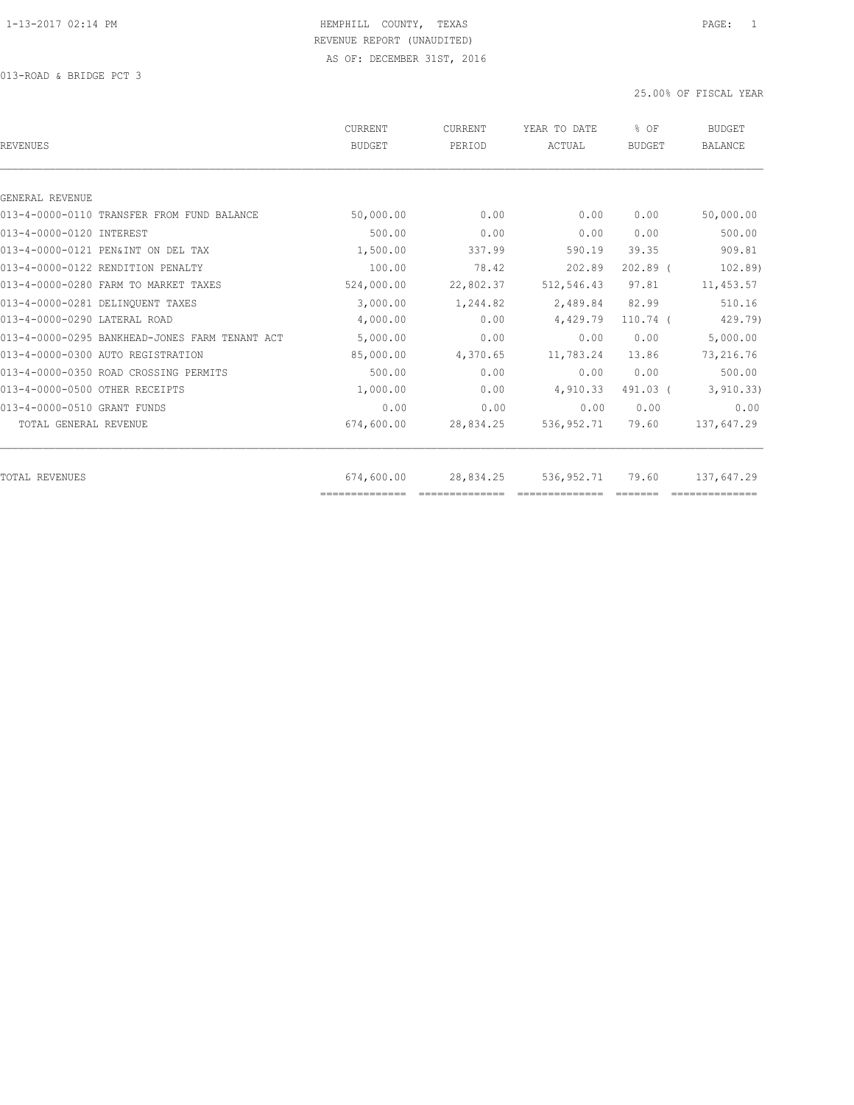| CURRENT<br><b>BUDGET</b> | <b>CURRENT</b><br>PERIOD | YEAR TO DATE<br>ACTUAL | % OF<br><b>BUDGET</b> | <b>BUDGET</b><br><b>BALANCE</b> |
|--------------------------|--------------------------|------------------------|-----------------------|---------------------------------|
|                          |                          |                        |                       |                                 |
|                          |                          |                        |                       |                                 |
| 50,000.00                | 0.00                     | 0.00                   | 0.00                  | 50,000.00                       |
| 500.00                   | 0.00                     | 0.00                   | 0.00                  | 500.00                          |
| 1,500.00                 | 337.99                   | 590.19                 | 39.35                 | 909.81                          |
| 100.00                   | 78.42                    | 202.89                 | $202.89$ (            | 102.89                          |
| 524,000.00               | 22,802.37                | 512,546.43             | 97.81                 | 11,453.57                       |
| 3,000.00                 | 1,244.82                 | 2,489.84               | 82.99                 | 510.16                          |
| 4,000.00                 | 0.00                     | 4,429.79               | $110.74$ (            | 429.79)                         |
| 5,000.00                 | 0.00                     | 0.00                   | 0.00                  | 5,000.00                        |
| 85,000.00                | 4,370.65                 | 11,783.24              | 13.86                 | 73,216.76                       |
| 500.00                   | 0.00                     | 0.00                   | 0.00                  | 500.00                          |
| 1,000.00                 | 0.00                     | 4,910.33               | 491.03 (              | 3, 910.33)                      |
| 0.00                     | 0.00                     | 0.00                   | 0.00                  | 0.00                            |
| 674,600.00               | 28,834.25                | 536,952.71             | 79.60                 | 137,647.29                      |
|                          |                          |                        |                       | 137,647.29                      |
| ==============           |                          |                        |                       |                                 |
|                          | 674,600.00               | 28,834.25              | 536,952.71            | 79.60                           |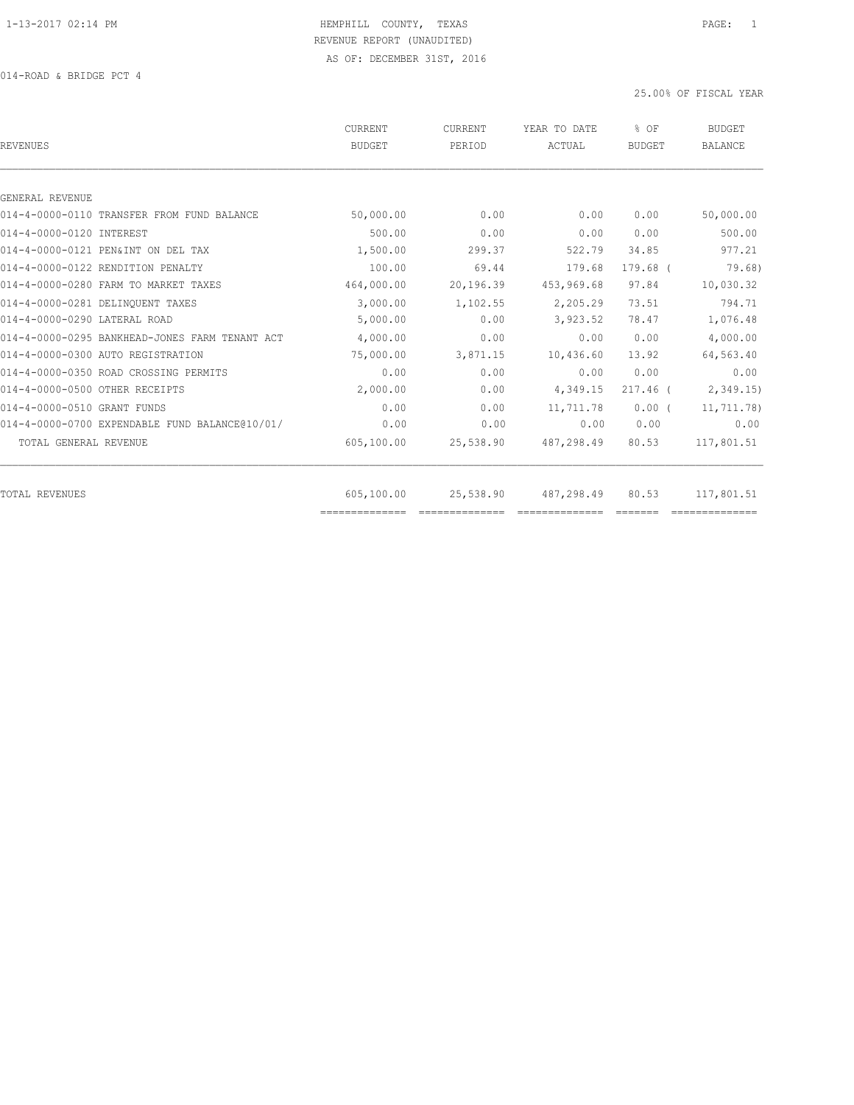014-ROAD & BRIDGE PCT 4

| CURRENT<br>BUDGET | CURRENT<br>PERIOD | YEAR TO DATE<br>ACTUAL | % OF<br><b>BUDGET</b> | <b>BUDGET</b><br><b>BALANCE</b> |
|-------------------|-------------------|------------------------|-----------------------|---------------------------------|
|                   |                   |                        |                       |                                 |
|                   |                   |                        |                       |                                 |
| 50,000.00         | 0.00              | 0.00                   | 0.00                  | 50,000.00                       |
| 500.00            | 0.00              | 0.00                   | 0.00                  | 500.00                          |
| 1,500.00          | 299.37            | 522.79                 | 34.85                 | 977.21                          |
| 100.00            | 69.44             | 179.68                 | $179.68$ $($          | 79.68)                          |
| 464,000.00        | 20,196.39         | 453,969.68             | 97.84                 | 10,030.32                       |
| 3,000.00          | 1,102.55          | 2,205.29               | 73.51                 | 794.71                          |
| 5,000.00          | 0.00              | 3,923.52               | 78.47                 | 1,076.48                        |
| 4,000.00          | 0.00              | 0.00                   | 0.00                  | 4,000.00                        |
| 75,000.00         | 3,871.15          | 10,436.60              | 13.92                 | 64,563.40                       |
| 0.00              | 0.00              | 0.00                   | 0.00                  | 0.00                            |
| 2,000.00          | 0.00              | 4,349.15               | $217.46$ (            | 2,349.15                        |
| 0.00              | 0.00              | 11,711.78              | $0.00$ (              | 11,711.78)                      |
| 0.00              | 0.00              | 0.00                   | 0.00                  | 0.00                            |
| 605,100.00        | 25,538.90         | 487,298.49             | 80.53                 | 117,801.51                      |
|                   |                   |                        |                       | 117,801.51                      |
|                   | 605,100.00        | 25,538.90              | 487,298.49            | 80.53                           |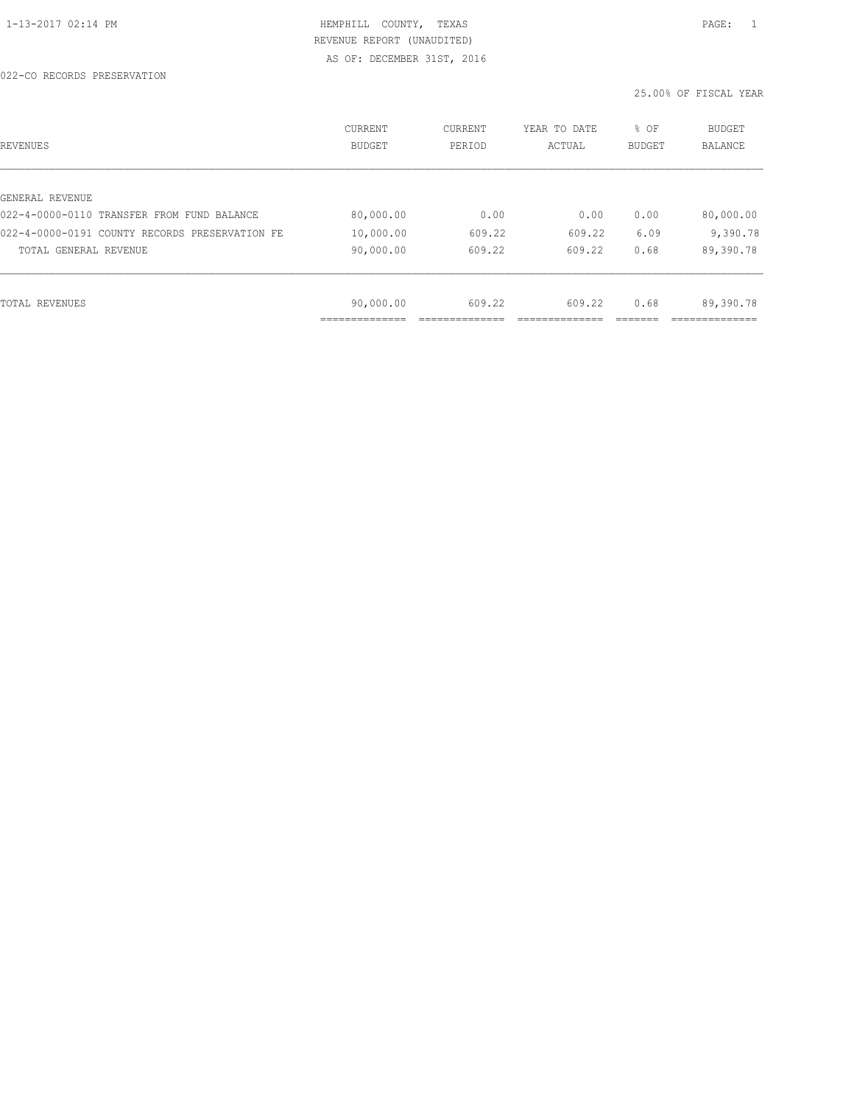022-CO RECORDS PRESERVATION

| REVENUES                                       | CURRENT<br><b>BUDGET</b> | CURRENT<br>PERIOD | YEAR TO DATE<br>ACTUAL | % OF<br>BUDGET | <b>BUDGET</b><br><b>BALANCE</b> |
|------------------------------------------------|--------------------------|-------------------|------------------------|----------------|---------------------------------|
|                                                |                          |                   |                        |                |                                 |
| GENERAL REVENUE                                |                          |                   |                        |                |                                 |
| 022-4-0000-0110 TRANSFER FROM FUND BALANCE     | 80,000.00                | 0.00              | 0.00                   | 0.00           | 80,000.00                       |
| 022-4-0000-0191 COUNTY RECORDS PRESERVATION FE | 10,000.00                | 609.22            | 609.22                 | 6.09           | 9,390.78                        |
| TOTAL GENERAL REVENUE                          | 90,000.00                | 609.22            | 609.22                 | 0.68           | 89,390.78                       |
|                                                |                          |                   |                        |                |                                 |
| TOTAL REVENUES                                 | 90,000.00                | 609.22            | 609.22                 | 0.68           | 89,390.78                       |
|                                                | ___________              |                   |                        |                |                                 |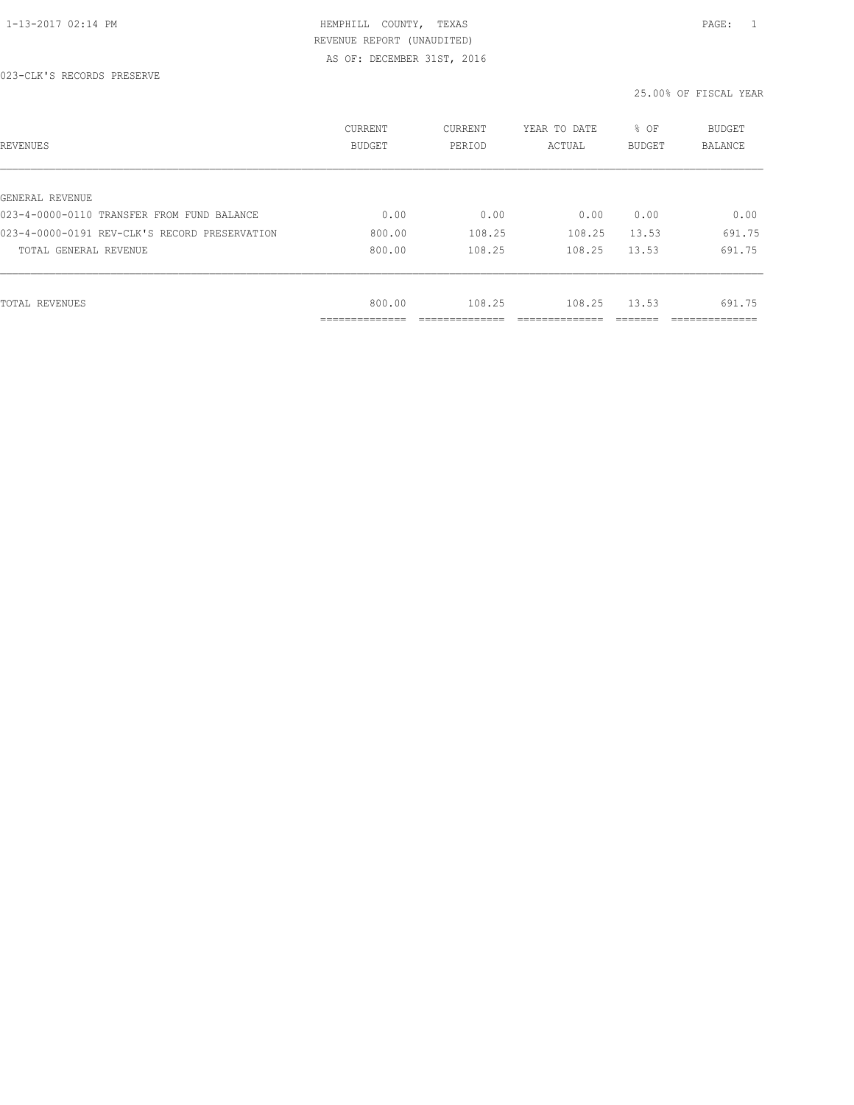#### 023-CLK'S RECORDS PRESERVE

| REVENUES                                      | CURRENT<br><b>BUDGET</b>   | CURRENT<br>PERIOD | YEAR TO DATE<br>ACTUAL | % OF<br>BUDGET | BUDGET<br><b>BALANCE</b> |
|-----------------------------------------------|----------------------------|-------------------|------------------------|----------------|--------------------------|
|                                               |                            |                   |                        |                |                          |
| GENERAL REVENUE                               |                            |                   |                        |                |                          |
| 023-4-0000-0110 TRANSFER FROM FUND BALANCE    | 0.00                       | 0.00              | 0.00                   | 0.00           | 0.00                     |
| 023-4-0000-0191 REV-CLK'S RECORD PRESERVATION | 800.00                     | 108.25            | 108.25                 | 13.53          | 691.75                   |
| TOTAL GENERAL REVENUE                         | 800.00                     | 108.25            | 108.25                 | 13.53          | 691.75                   |
|                                               |                            |                   |                        |                |                          |
| TOTAL REVENUES                                | 800.00                     | 108.25            | 108.25                 | 13.53          | 691.75                   |
|                                               | -----------<br>----------- |                   |                        |                | _____________            |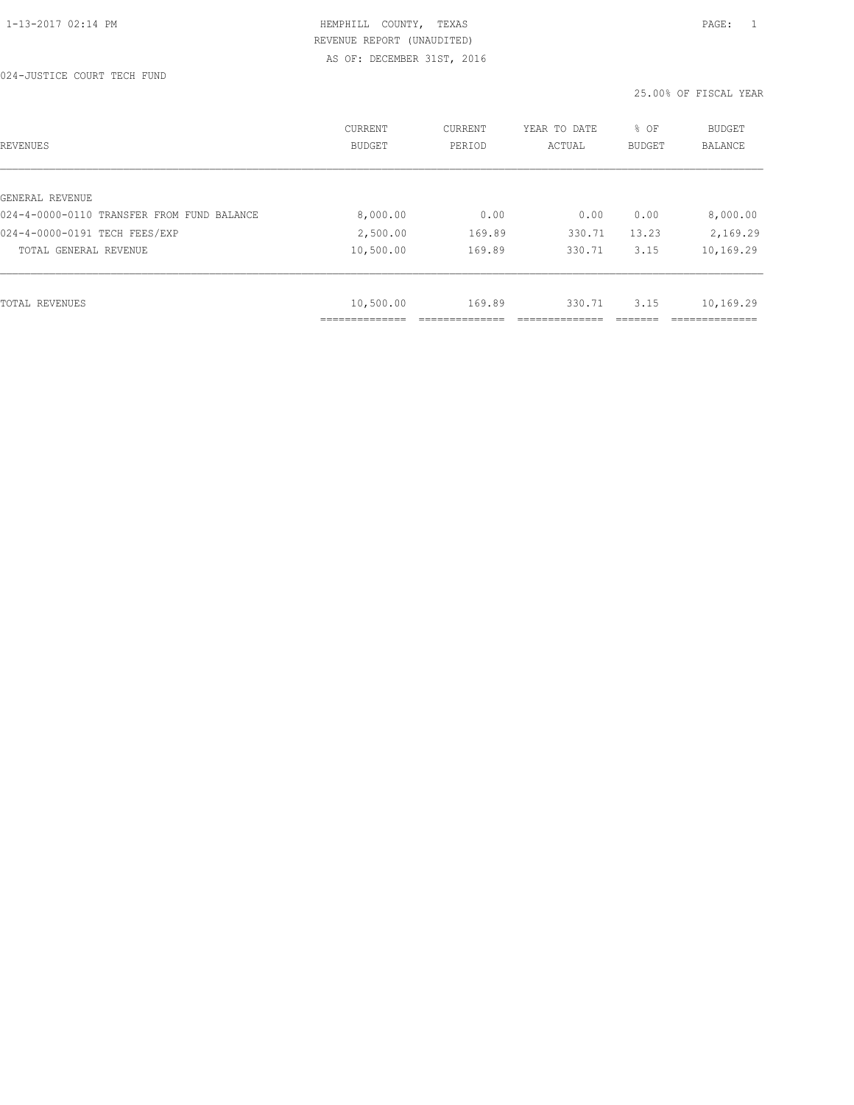024-JUSTICE COURT TECH FUND

| REVENUES                                   | CURRENT<br><b>BUDGET</b> | CURRENT<br>PERIOD | YEAR TO DATE<br>ACTUAL | % OF<br>BUDGET | BUDGET<br><b>BALANCE</b> |
|--------------------------------------------|--------------------------|-------------------|------------------------|----------------|--------------------------|
|                                            |                          |                   |                        |                |                          |
| GENERAL REVENUE                            |                          |                   |                        |                |                          |
| 024-4-0000-0110 TRANSFER FROM FUND BALANCE | 8,000.00                 | 0.00              | 0.00                   | 0.00           | 8,000.00                 |
| 024-4-0000-0191 TECH FEES/EXP              | 2,500.00                 | 169.89            | 330.71                 | 13.23          | 2,169.29                 |
| TOTAL GENERAL REVENUE                      | 10,500.00                | 169.89            | 330.71                 | 3.15           | 10,169.29                |
|                                            |                          |                   |                        |                |                          |
| TOTAL REVENUES                             | 10,500.00                | 169.89            | 330.71                 | 3.15           | 10,169.29                |
|                                            | -----------              |                   |                        |                |                          |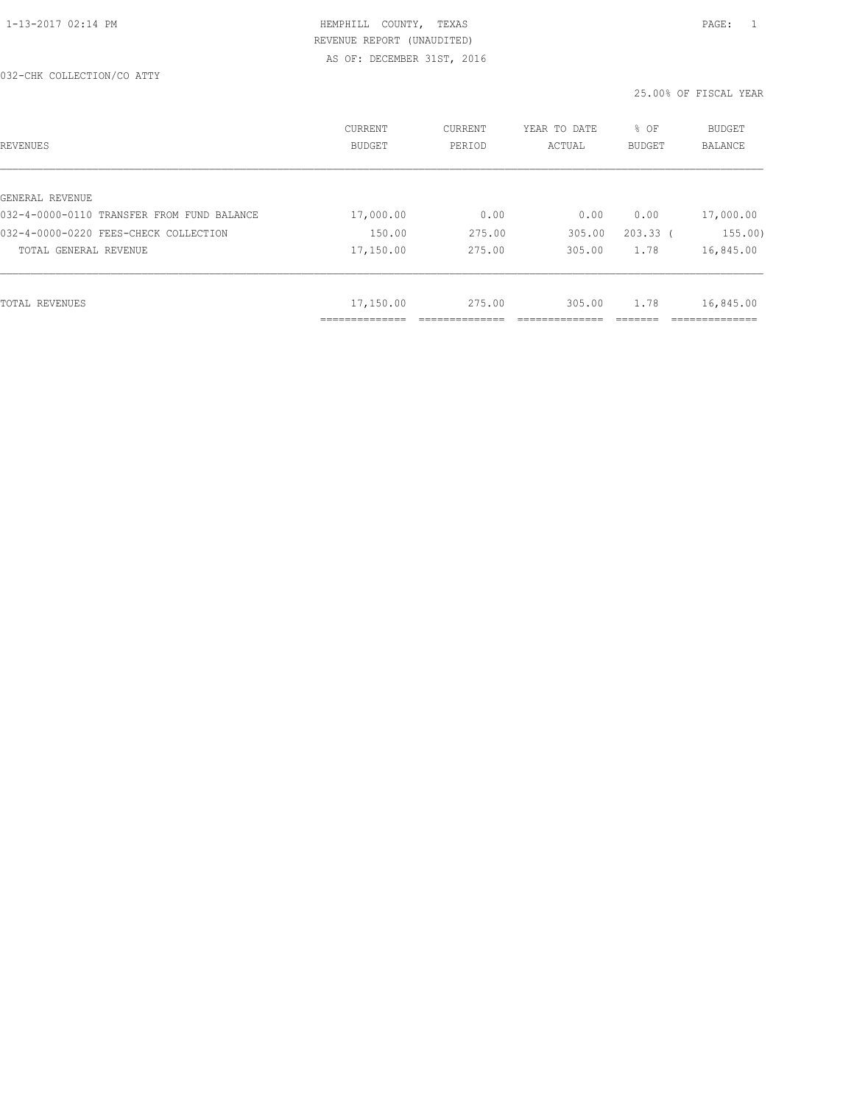#### 032-CHK COLLECTION/CO ATTY

| REVENUES                                   | CURRENT<br><b>BUDGET</b> | CURRENT<br>PERIOD | YEAR TO DATE<br>ACTUAL | % OF<br><b>BUDGET</b> | BUDGET<br><b>BALANCE</b> |
|--------------------------------------------|--------------------------|-------------------|------------------------|-----------------------|--------------------------|
|                                            |                          |                   |                        |                       |                          |
| GENERAL REVENUE                            |                          |                   |                        |                       |                          |
| 032-4-0000-0110 TRANSFER FROM FUND BALANCE | 17,000.00                | 0.00              | 0.00                   | 0.00                  | 17,000.00                |
| 032-4-0000-0220 FEES-CHECK COLLECTION      | 150.00                   | 275.00            | 305.00                 | $203.33$ (            | 155.00)                  |
| TOTAL GENERAL REVENUE                      | 17,150.00                | 275.00            | 305.00                 | 1.78                  | 16,845.00                |
|                                            |                          |                   |                        |                       |                          |
| TOTAL REVENUES                             | 17,150.00                | 275.00            | 305.00                 | 1.78                  | 16,845.00                |
|                                            | ____________<br>.        |                   |                        |                       | _____________            |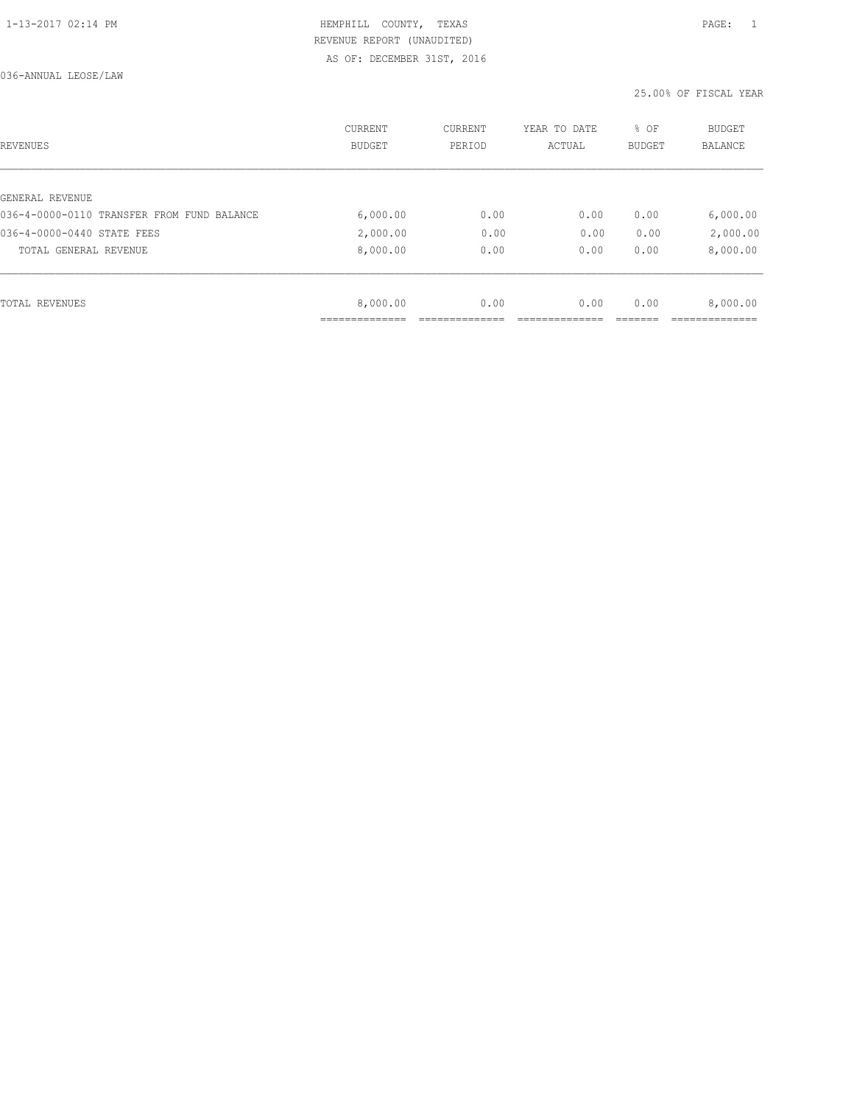036-ANNUAL LEOSE/LAW

| REVENUES                                   | <b>CURRENT</b><br><b>BUDGET</b> | CURRENT<br>PERIOD | YEAR TO DATE<br>ACTUAL | % OF<br>BUDGET | BUDGET<br><b>BALANCE</b> |
|--------------------------------------------|---------------------------------|-------------------|------------------------|----------------|--------------------------|
|                                            |                                 |                   |                        |                |                          |
| GENERAL REVENUE                            |                                 |                   |                        |                |                          |
| 036-4-0000-0110 TRANSFER FROM FUND BALANCE | 6,000.00                        | 0.00              | 0.00                   | 0.00           | 6,000.00                 |
| 036-4-0000-0440 STATE FEES                 | 2,000.00                        | 0.00              | 0.00                   | 0.00           | 2,000.00                 |
| TOTAL GENERAL REVENUE                      | 8,000.00                        | 0.00              | 0.00                   | 0.00           | 8,000.00                 |
|                                            |                                 |                   |                        |                |                          |
| TOTAL REVENUES                             | 8,000.00                        | 0.00              | 0.00                   | 0.00           | 8,000.00                 |
|                                            |                                 |                   |                        |                |                          |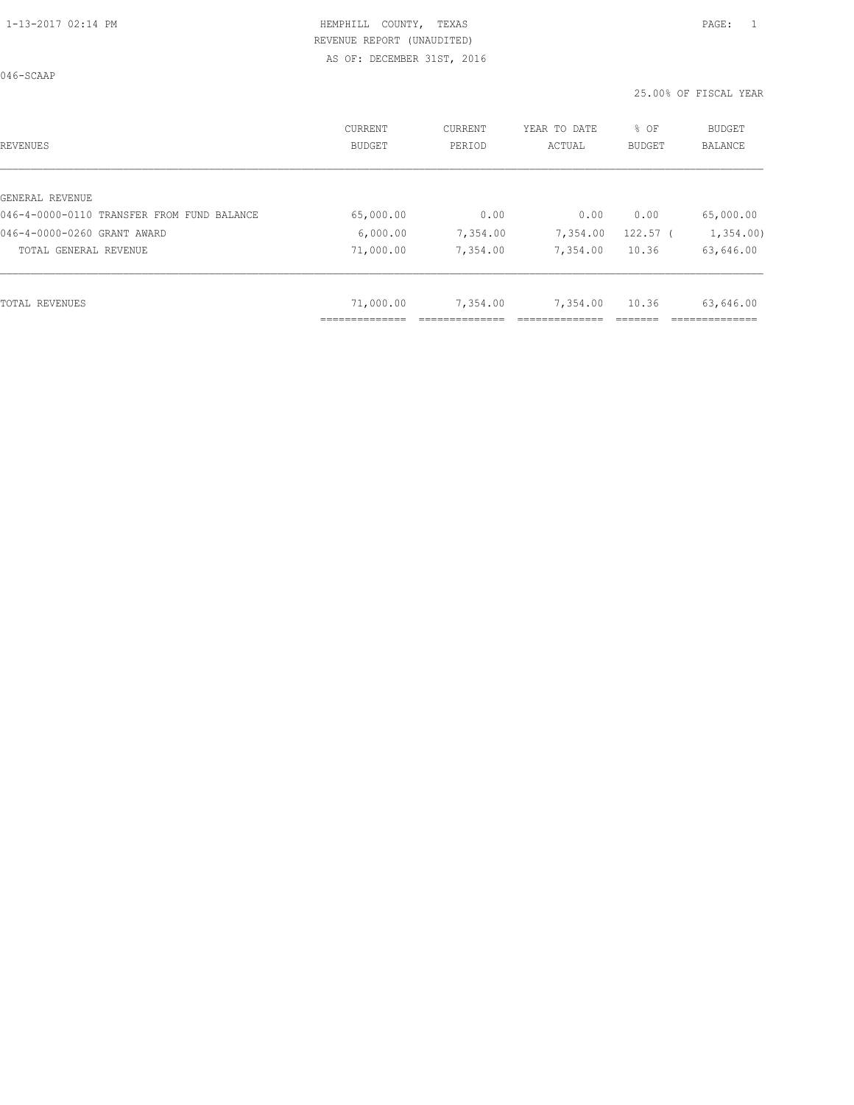046-SCAAP

| REVENUES                                   | CURRENT<br>BUDGET | CURRENT<br>PERIOD | YEAR TO DATE<br>ACTUAL | % OF<br><b>BUDGET</b> | <b>BUDGET</b><br>BALANCE |
|--------------------------------------------|-------------------|-------------------|------------------------|-----------------------|--------------------------|
|                                            |                   |                   |                        |                       |                          |
| GENERAL REVENUE                            |                   |                   |                        |                       |                          |
| 046-4-0000-0110 TRANSFER FROM FUND BALANCE | 65,000.00         | 0.00              | 0.00                   | 0.00                  | 65,000.00                |
| 046-4-0000-0260 GRANT AWARD                | 6,000.00          | 7,354.00          | 7,354.00               | $122.57$ (            | 1,354.00                 |
| TOTAL GENERAL REVENUE                      | 71,000.00         | 7,354.00          | 7,354.00               | 10.36                 | 63,646.00                |
|                                            |                   |                   |                        |                       |                          |
| TOTAL REVENUES                             | 71,000.00         | 7,354.00          | 7,354.00               | 10.36                 | 63,646.00                |
|                                            | ____________      |                   |                        |                       |                          |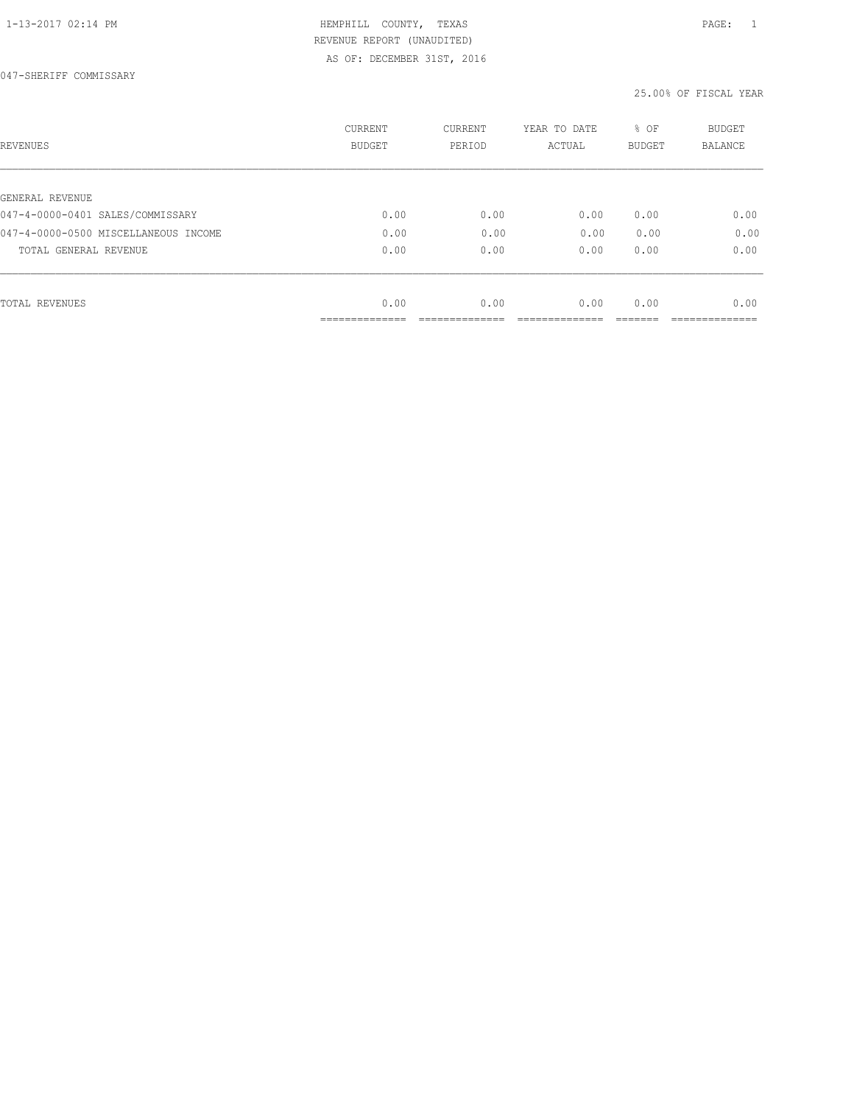| REVENUES                             | <b>CURRENT</b><br><b>BUDGET</b>  | CURRENT<br>PERIOD | YEAR TO DATE<br>ACTUAL | % OF<br><b>BUDGET</b> | <b>BUDGET</b><br>BALANCE |
|--------------------------------------|----------------------------------|-------------------|------------------------|-----------------------|--------------------------|
| GENERAL REVENUE                      |                                  |                   |                        |                       |                          |
| 047-4-0000-0401 SALES/COMMISSARY     | 0.00                             | 0.00              | 0.00                   | 0.00                  | 0.00                     |
| 047-4-0000-0500 MISCELLANEOUS INCOME | 0.00                             | 0.00              | 0.00                   | 0.00                  | 0.00                     |
| TOTAL GENERAL REVENUE                | 0.00                             | 0.00              | 0.00                   | 0.00                  | 0.00                     |
|                                      |                                  |                   |                        |                       |                          |
| TOTAL REVENUES                       | 0.00                             | 0.00              | 0.00                   | 0.00                  | 0.00                     |
|                                      | --------------<br>______________ |                   |                        |                       |                          |